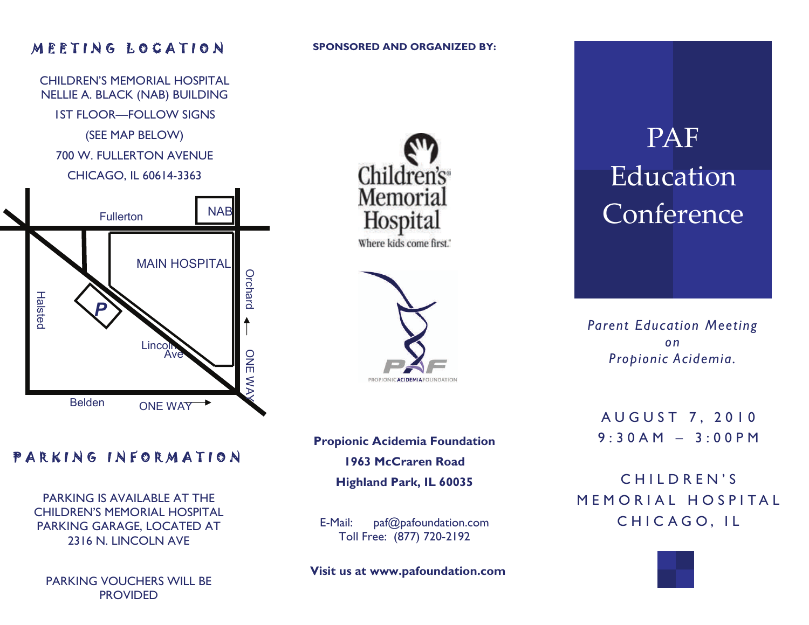### MEETING LOCATION

**SPONSORED AND ORGANIZED BY:** 



### Children's Memorial **Hospita** Where kids come first."



## PAF Education Conference

*Parent Education Meeting on Propionic Acidemia.* 

AUGUST 7, 2010 9:30AM – 3:00PM

CHILDREN'S MEMORIAL HOSPITAL CHICAGO, IL

### PARKING INFORMATION

PARKING IS AVAILABLE AT THE CHILDREN'S MEMORIAL HOSPITAL PARKING GARAGE, LOCATED AT 2316 N. LINCOLN AVE

PARKING VOUCHERS WILL BE **PROVIDED** 

**Propionic Acidemia Foundation 1963 McCraren Road Highland Park, IL 60035** 

E-Mail: paf@pafoundation.com Toll Free: (877) 720-2192

 **Visit us at www.pafoundation.com**